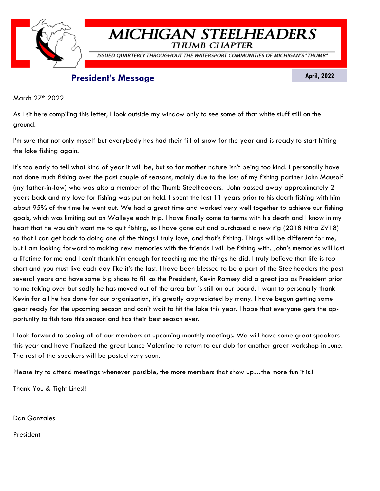

# **MICHIGAN STEELHEADERS THUMB CHAPTER**

ISSUED QUARTERLY THROUGHOUT THE WATERSPORT COMMUNITIES OF MICHIGAN'S "THUMB"

# **President's Message April, 2022**

March 27<sup>th</sup> 2022

As I sit here compiling this letter, I look outside my window only to see some of that white stuff still on the ground.

I'm sure that not only myself but everybody has had their fill of snow for the year and is ready to start hitting the lake fishing again.

It's too early to tell what kind of year it will be, but so far mother nature isn't being too kind. I personally have not done much fishing over the past couple of seasons, mainly due to the loss of my fishing partner John Mausolf (my father-in-law) who was also a member of the Thumb Steelheaders. John passed away approximately 2 years back and my love for fishing was put on hold. I spent the last 11 years prior to his death fishing with him about 95% of the time he went out. We had a great time and worked very well together to achieve our fishing goals, which was limiting out on Walleye each trip. I have finally come to terms with his death and I know in my heart that he wouldn't want me to quit fishing, so I have gone out and purchased a new rig (2018 Nitro ZV18) so that I can get back to doing one of the things I truly love, and that's fishing. Things will be different for me, but I am looking forward to making new memories with the friends I will be fishing with. John's memories will last a lifetime for me and I can't thank him enough for teaching me the things he did. I truly believe that life is too short and you must live each day like it's the last. I have been blessed to be a part of the Steelheaders the past several years and have some big shoes to fill as the President, Kevin Ramsey did a great job as President prior to me taking over but sadly he has moved out of the area but is still on our board. I want to personally thank Kevin for all he has done for our organization, it's greatly appreciated by many. I have begun getting some gear ready for the upcoming season and can't wait to hit the lake this year. I hope that everyone gets the opportunity to fish tons this season and has their best season ever.

I look forward to seeing all of our members at upcoming monthly meetings. We will have some great speakers this year and have finalized the great Lance Valentine to return to our club for another great workshop in June. The rest of the speakers will be posted very soon.

Please try to attend meetings whenever possible, the more members that show up…the more fun it is!!

Thank You & Tight Lines!!

Dan Gonzales

President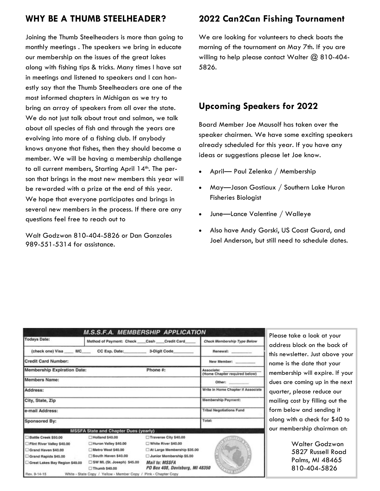# **WHY BE A THUMB STEELHEADER?**

Joining the Thumb Steelheaders is more than going to monthly meetings . The speakers we bring in educate our membership on the issues of the great lakes along with fishing tips & tricks. Many times I have sat in meetings and listened to speakers and I can honestly say that the Thumb Steelheaders are one of the most informed chapters in Michigan as we try to bring an array of speakers from all over the state. We do not just talk about trout and salmon, we talk about all species of fish and through the years are evolving into more of a fishing club. If anybody knows anyone that fishes, then they should become a member. We will be having a membership challenge to all current members, Starting April 14<sup>th</sup>. The person that brings in the most new members this year will be rewarded with a prize at the end of this year. We hope that everyone participates and brings in several new members in the process. If there are any questions feel free to reach out to

Walt Godzwon 810-404-5826 or Dan Gonzales 989-551-5314 for assistance.

# **2022 Can2Can Fishing Tournament**

We are looking for volunteers to check boats the morning of the tournament on May 7th. If you are willing to help please contact Walter @ 810-404-5826.

## **Upcoming Speakers for 2022**

Board Member Joe Mausolf has taken over the speaker chairmen. We have some exciting speakers already scheduled for this year. If you have any ideas or suggestions please let Joe know.

- April— Paul Zelenka / Membership
- May—Jason Gostiaux / Southern Lake Huron Fisheries Biologist
- June—Lance Valentine / Walleye
- Also have Andy Gorski, US Coast Guard, and Joel Anderson, but still need to schedule dates.

|                                                | <b>M.S.S.F.A. MEMBERSHIP APPLICATION</b>       |                                                          |                                             |
|------------------------------------------------|------------------------------------------------|----------------------------------------------------------|---------------------------------------------|
| <b>Todays Date:</b>                            | Method of Payment: Check Cash Credit Card      |                                                          | Check Membership Type Below                 |
|                                                | (check one) Visa MC CC Exp. Date: 3-Digit Code |                                                          | Renewal:                                    |
| <b>Credit Card Number:</b>                     |                                                |                                                          | New Member: ________                        |
| <b>Membership Expiration Date:</b><br>Phone #: |                                                |                                                          | Associate:<br>(Home Chapter required below) |
| <b>Members Name:</b>                           |                                                |                                                          | Other:                                      |
| Address:                                       |                                                |                                                          | Write in Home Chapter if Associate          |
| City, State, Zip                               |                                                |                                                          | Membership Payment:                         |
| e-mail Address:                                |                                                |                                                          | <b>Tribal Negotiations Fund</b>             |
| Sponsored By:                                  |                                                |                                                          | Total:                                      |
|                                                | <b>MSSFA State and Chapter Dues (yearly)</b>   |                                                          |                                             |
| Battle Creek \$50.00                           | Holland \$40,00                                | Traverse City \$40.00                                    |                                             |
| Flint River Valley \$40.00                     | Huron Valley \$40.00                           | White River \$40.00                                      |                                             |
| Grand Haven \$40,00                            | Metro West \$40.00                             | At Large Membership \$35.00                              |                                             |
| Grand Rapids \$45.00                           | South Haven \$40.00                            | Junior Membership \$5.00                                 |                                             |
| Great Lakes Bay Region \$40.00                 | SW ML (St. Joseph) \$45.00<br>Thumb \$40,00    | <b>Mail to: MSSFA</b><br>PO Box 408, Davisburg, MI 48350 |                                             |
| Rev. 9-14-15                                   | White - State Copy / Yellow - Member Copy /    | Pink - Chapter Copy                                      |                                             |

Please take a look at your address block on the back of this newsletter. Just above your name is the date that your membership will expire. If your dues are coming up in the next quarter, please reduce our mailing cost by filling out the form below and sending it along with a check for \$40 to our membership chairman at:

> Walter Godzwon 5827 Russell Road Palms, MI 48465 810-404-5826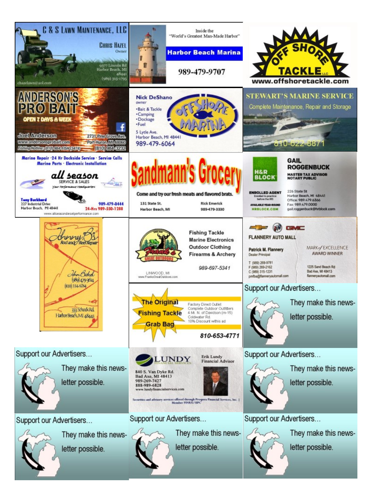